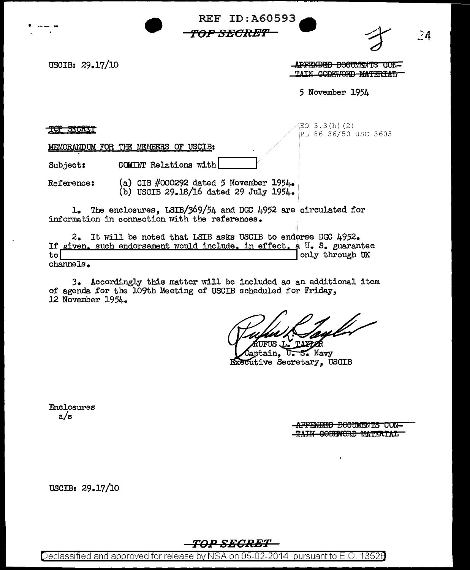**REF ID:A60593**<br> *TOP SECRET* **TOP S:EClle'f'** 

USCIB: 29.17/10

.APPENDED DOCUMENTS CON-<br>TAIN CODEWORD MATERIAL

.24

5 November 1954

TOP SECRET

 $EO$  3.3 $(h)$   $(2)$ PL 86-36/50 USC 3605

MEMORAtIDUM FOR THE MEUBERS OF USCIB:

Subject: COMINT Relations with

Reference: (a) CIB #000292 dated 5 November 1954. (b) USCIB 29.lS/16 dated 29 July 1954•

1. The enclosures, LSIB/369/54 and DGC 4952 are circulated for information in connection with the references.

2. It will be noted that LSIB asks USCIB to endorse DGC 4952. If given, such endorsement would include, in effect, a U. S. guarantee<br>to only through UK channels.

3. Accordingly this matter will be included as an additional item of agenda for the l09th Meeting of USCIB scheduled for Friday, 12 November 1954.

U. S. Navy tain. Executive Secretary, USCIB

Enclosures a/s

.APPENDED BOCUMENTS CON-TAIN CODEWORD MATERIAL

USCIB: 29.17/10

## **TOP SECRET**

Declassified and approved for release by NSA on 05-02-2014 pursuantto E.O. 1352a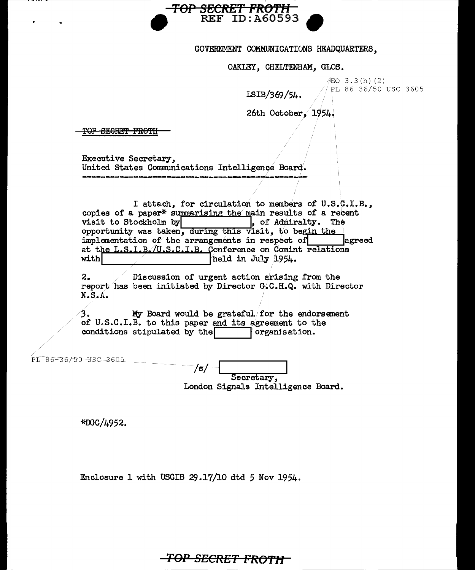

### GOVERNMENT COMMUNICATIONS HEADQUARTERS,

#### OAKLEY, CHELTENHAM, GLOS.

 $EO$  3.3(h)(2) PL 86-36/50 USC 3605

I.SIB/369/54.

26th October, 1954.

TOP SEGRET FROTH

Executive Secretary, United States Communications Intelligence Board.

I attach, for circulation to members of U.S.C.I.B., copies of a paper\* summarising the main results of a recent visit to Stockholm by  $\begin{bmatrix} 0 & 0 & 0 \\ 0 & 0 & 0 \\ 0 & 0 & 0 \end{bmatrix}$ , of Admiralty. The  $\Box$ , of Admiralty. The opportunity was taken, during this visit, to begin the  $implementation of the arrangements in respect of  $|$$ at the L.S.I.B. $\sqrt{U.S.C.I.B.}$  Conference on Comint relations<br>with held in July 1954. held in July 1954.

 $2.$   $\blacksquare$  Discussion of urgent action arising from the report has been initiated by Director G.C.H.Q. with Director N.s.A.

*3.* My Board would be grateful/for the endorsement of U.S.C.I.B. to this paper and its agreement to the conditions stipulated by the  $\sim$  organisation. conditions stipulated by the  $\sqrt{ }$ 

PL 86-36/50 USC 3605

/s/ Secretary, London Signals Intelligence Board.

\*OOC/4952.

Enclosure 1 with USCIB  $29.17/10$  dtd 5 Nov 1954.

**TOP SECRET FROTH**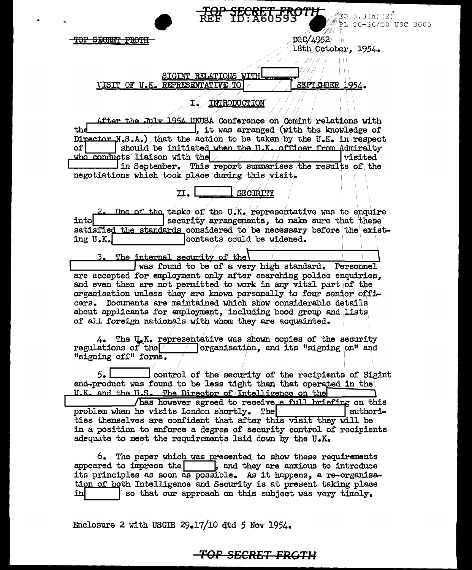

記O 3.3(h)(2) PL 86-36/50 USC 3605

DGC/4952 18th Cetober, 1954.

<u>SIGINT RELATIONS WITH!</u> SEPTELBER 1954. VISIT OF U.K. REPRESENTATIVE TO

TOP SECRET FROTH

## I. INTRODUCTION

After the July 1954 UKUSA Conference on Comint relations with thd  $\Box$ , it was arranged (with the knowledge of Director  $N_s S_A$ ) that the action to be taken by the U.K. in respect of l should be initiated when the H.K. officer from Admiralty who conducts liaison with the visited In September. This report summarises the results of the negotiations which took place during this visit.

> $TI$ . **SECURITY**

One of the tasks of the U.K. representative was to enquire security arrangements, to make sure that these into satisfied the standards considered to be necessary before the existcontacts could be widened. ing U.K.

The internal security of the was found to be of a very high standard. Personnel are accepted for employment only after searching police enquiries. and even then are not permitted to work in any vital part of the organisation unless they are known personally to four senior officers. Documents are maintained which show considerable details about applicants for employment, including bood group and lists of all foreign nationals with whom they are acquainted.

4. The U.K. representative was shown copies of the security regulations of the  $\sqrt{\phantom{a}}$  organisation, and its "signing on" and "signing off" forms.

 $5.1$  $\perp$  control of the security of the recipients of Sigint end-product was found to be less tight than that operated in the U.K. and the U.S. The Director of Intelligence on the has however agreed to receive a full briefing on this problem when he visits London shortly. The authorities themselves are confident that after this visit they will be in a position to enforce a degree of security control of recipients adequate to meet the requirements laid down by the U.K.

6. The paper which was presented to show these requirements appeared to impress the  $\begin{array}{|c|c|c|c|c|}\n\end{array}$  and they are anxious to introduce its principles as soon as possible. As it happens, a re-organisation of both Intelligence and Security is at present taking place so that our approach on this subject was very timely. in

Enclosure 2 with USCIB 29.17/10 dtd 5 Nov 1954.

# TOP SECRET FROTH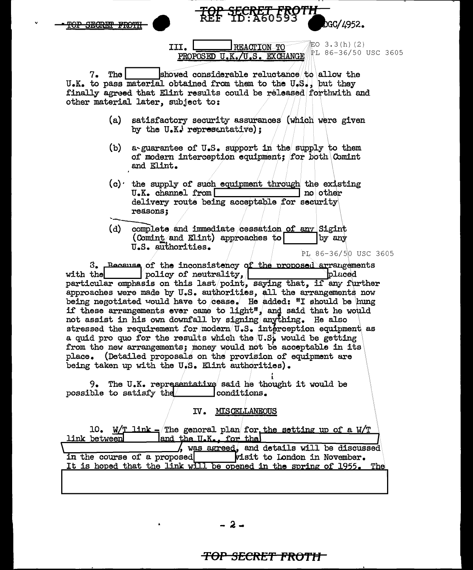| bGC/4952.<br><del>'OP SECRET FROT</del>                                                                                                                                                                                                                                                                                       |
|-------------------------------------------------------------------------------------------------------------------------------------------------------------------------------------------------------------------------------------------------------------------------------------------------------------------------------|
| 記0 3.3(h)(2)<br>REACTION TO<br>III.<br>PL 86-36/50 USC 3605<br>PROPOSED U.K./U.S. EXCHANGE                                                                                                                                                                                                                                    |
| showed considerable reluctance to allow the<br>7.<br>The<br>U.K. to pass material obtained from them to the U.S., but they<br>finally agreed that Elint results could be released forthwith and<br>other material later, subject to:                                                                                          |
| satisfactory security assurances (which were given<br>(a)<br>by the U.K. representative);                                                                                                                                                                                                                                     |
| (b)<br>a-guarantee of U.S. support in the supply to them<br>of modern interception equipment; for both Comint<br>and Elint.                                                                                                                                                                                                   |
| $(c)$ the supply of such equipment through the existing<br>U.K. channel from<br>no other<br>delivery route being acceptable for security<br>reasons:                                                                                                                                                                          |
| (d)<br>complete and immediate cessation of any Sigint<br>(Comint and Elint) approaches to<br>by any<br>U.S. authorities.<br>PL 86-36/50 USC 3605                                                                                                                                                                              |
| 3. Because of the inconsistency of the proposed arrangements<br>blaced<br>policy of neutrality,<br>with the<br>particular emphasis on this last/point, saying that, if any further<br>approaches were made by U.S. authorities, all the arrangements now<br>being negotiated would have to cease. He added: "I should be hung |

if these arrangements ever came to light", and said that he would not assist in his own downfall by signing anything. He also stressed the requirement for modern  $\overline{u}$ .S. interception equipment as a quid pro quo for the results which the  $[0.5]$  would be getting from the new arrangements; money would not be acceptable in its place. (Detailed proposals on the provision of equipment are being taken up with the U.S. Elint authorities).

9. The U.K. representative said he thought it would be possible to satisfy the conditions.

IV. MISCELLANEOUS

| 10. W/T link - The general plan for the setting up of a W/T         |
|---------------------------------------------------------------------|
| and the U.K., for the<br>link between                               |
| $\lambda$ , was agreed, and details will be discussed               |
| <b>Visit to London in November.</b><br>in the course of a proposed  |
| It is hoped that the link will be opened in the spring of 1955. The |
|                                                                     |

-2 -

# <del>TOP SECRET FROTH</del>